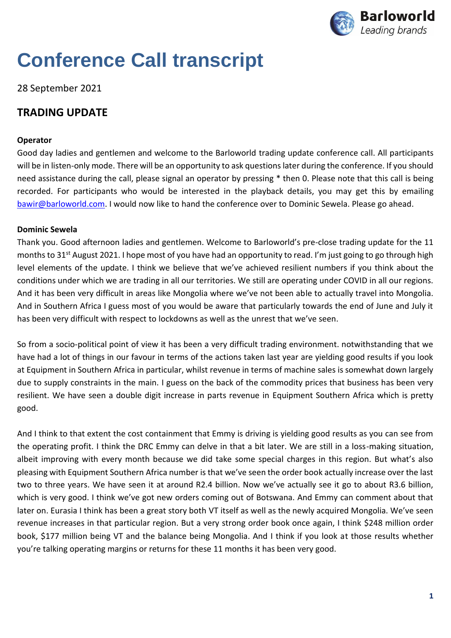

# **Conference Call transcript**

## 28 September 2021

## **TRADING UPDATE**

## **Operator**

Good day ladies and gentlemen and welcome to the Barloworld trading update conference call. All participants will be in listen-only mode. There will be an opportunity to ask questionslater during the conference. If you should need assistance during the call, please signal an operator by pressing \* then 0. Please note that this call is being recorded. For participants who would be interested in the playback details, you may get this by emailing [bawir@barloworld.com.](mailto:bawir@barloworld.com) I would now like to hand the conference over to Dominic Sewela. Please go ahead.

## **Dominic Sewela**

Thank you. Good afternoon ladies and gentlemen. Welcome to Barloworld's pre-close trading update for the 11 months to 31<sup>st</sup> August 2021. I hope most of you have had an opportunity to read. I'm just going to go through high level elements of the update. I think we believe that we've achieved resilient numbers if you think about the conditions under which we are trading in all our territories. We still are operating under COVID in all our regions. And it has been very difficult in areas like Mongolia where we've not been able to actually travel into Mongolia. And in Southern Africa I guess most of you would be aware that particularly towards the end of June and July it has been very difficult with respect to lockdowns as well as the unrest that we've seen.

So from a socio-political point of view it has been a very difficult trading environment. notwithstanding that we have had a lot of things in our favour in terms of the actions taken last year are yielding good results if you look at Equipment in Southern Africa in particular, whilst revenue in terms of machine sales is somewhat down largely due to supply constraints in the main. I guess on the back of the commodity prices that business has been very resilient. We have seen a double digit increase in parts revenue in Equipment Southern Africa which is pretty good.

And I think to that extent the cost containment that Emmy is driving is yielding good results as you can see from the operating profit. I think the DRC Emmy can delve in that a bit later. We are still in a loss-making situation, albeit improving with every month because we did take some special charges in this region. But what's also pleasing with Equipment Southern Africa number is that we've seen the order book actually increase over the last two to three years. We have seen it at around R2.4 billion. Now we've actually see it go to about R3.6 billion, which is very good. I think we've got new orders coming out of Botswana. And Emmy can comment about that later on. Eurasia I think has been a great story both VT itself as well as the newly acquired Mongolia. We've seen revenue increases in that particular region. But a very strong order book once again, I think \$248 million order book, \$177 million being VT and the balance being Mongolia. And I think if you look at those results whether you're talking operating margins or returns for these 11 months it has been very good.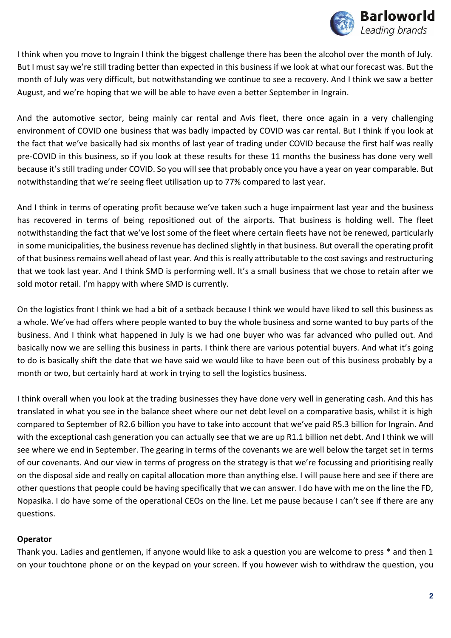

I think when you move to Ingrain I think the biggest challenge there has been the alcohol over the month of July. But I must say we're still trading better than expected in this business if we look at what our forecast was. But the month of July was very difficult, but notwithstanding we continue to see a recovery. And I think we saw a better August, and we're hoping that we will be able to have even a better September in Ingrain.

And the automotive sector, being mainly car rental and Avis fleet, there once again in a very challenging environment of COVID one business that was badly impacted by COVID was car rental. But I think if you look at the fact that we've basically had six months of last year of trading under COVID because the first half was really pre-COVID in this business, so if you look at these results for these 11 months the business has done very well because it's still trading under COVID. So you will see that probably once you have a year on year comparable. But notwithstanding that we're seeing fleet utilisation up to 77% compared to last year.

And I think in terms of operating profit because we've taken such a huge impairment last year and the business has recovered in terms of being repositioned out of the airports. That business is holding well. The fleet notwithstanding the fact that we've lost some of the fleet where certain fleets have not be renewed, particularly in some municipalities, the business revenue has declined slightly in that business. But overall the operating profit of that business remains well ahead of last year. And this is really attributable to the cost savings and restructuring that we took last year. And I think SMD is performing well. It's a small business that we chose to retain after we sold motor retail. I'm happy with where SMD is currently.

On the logistics front I think we had a bit of a setback because I think we would have liked to sell this business as a whole. We've had offers where people wanted to buy the whole business and some wanted to buy parts of the business. And I think what happened in July is we had one buyer who was far advanced who pulled out. And basically now we are selling this business in parts. I think there are various potential buyers. And what it's going to do is basically shift the date that we have said we would like to have been out of this business probably by a month or two, but certainly hard at work in trying to sell the logistics business.

I think overall when you look at the trading businesses they have done very well in generating cash. And this has translated in what you see in the balance sheet where our net debt level on a comparative basis, whilst it is high compared to September of R2.6 billion you have to take into account that we've paid R5.3 billion for Ingrain. And with the exceptional cash generation you can actually see that we are up R1.1 billion net debt. And I think we will see where we end in September. The gearing in terms of the covenants we are well below the target set in terms of our covenants. And our view in terms of progress on the strategy is that we're focussing and prioritising really on the disposal side and really on capital allocation more than anything else. I will pause here and see if there are other questions that people could be having specifically that we can answer. I do have with me on the line the FD, Nopasika. I do have some of the operational CEOs on the line. Let me pause because I can't see if there are any questions.

## **Operator**

Thank you. Ladies and gentlemen, if anyone would like to ask a question you are welcome to press \* and then 1 on your touchtone phone or on the keypad on your screen. If you however wish to withdraw the question, you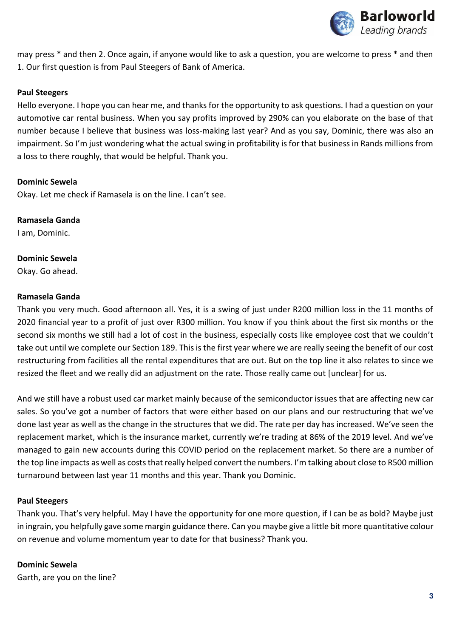

may press \* and then 2. Once again, if anyone would like to ask a question, you are welcome to press \* and then 1. Our first question is from Paul Steegers of Bank of America.

## **Paul Steegers**

Hello everyone. I hope you can hear me, and thanks for the opportunity to ask questions. I had a question on your automotive car rental business. When you say profits improved by 290% can you elaborate on the base of that number because I believe that business was loss-making last year? And as you say, Dominic, there was also an impairment. So I'm just wondering what the actual swing in profitability is for that business in Rands millions from a loss to there roughly, that would be helpful. Thank you.

## **Dominic Sewela**

Okay. Let me check if Ramasela is on the line. I can't see.

## **Ramasela Ganda**

I am, Dominic.

## **Dominic Sewela**

Okay. Go ahead.

## **Ramasela Ganda**

Thank you very much. Good afternoon all. Yes, it is a swing of just under R200 million loss in the 11 months of 2020 financial year to a profit of just over R300 million. You know if you think about the first six months or the second six months we still had a lot of cost in the business, especially costs like employee cost that we couldn't take out until we complete our Section 189. This is the first year where we are really seeing the benefit of our cost restructuring from facilities all the rental expenditures that are out. But on the top line it also relates to since we resized the fleet and we really did an adjustment on the rate. Those really came out [unclear] for us.

And we still have a robust used car market mainly because of the semiconductor issues that are affecting new car sales. So you've got a number of factors that were either based on our plans and our restructuring that we've done last year as well as the change in the structures that we did. The rate per day has increased. We've seen the replacement market, which is the insurance market, currently we're trading at 86% of the 2019 level. And we've managed to gain new accounts during this COVID period on the replacement market. So there are a number of the top line impacts as well as costs that really helped convert the numbers. I'm talking about close to R500 million turnaround between last year 11 months and this year. Thank you Dominic.

## **Paul Steegers**

Thank you. That's very helpful. May I have the opportunity for one more question, if I can be as bold? Maybe just in ingrain, you helpfully gave some margin guidance there. Can you maybe give a little bit more quantitative colour on revenue and volume momentum year to date for that business? Thank you.

## **Dominic Sewela**

Garth, are you on the line?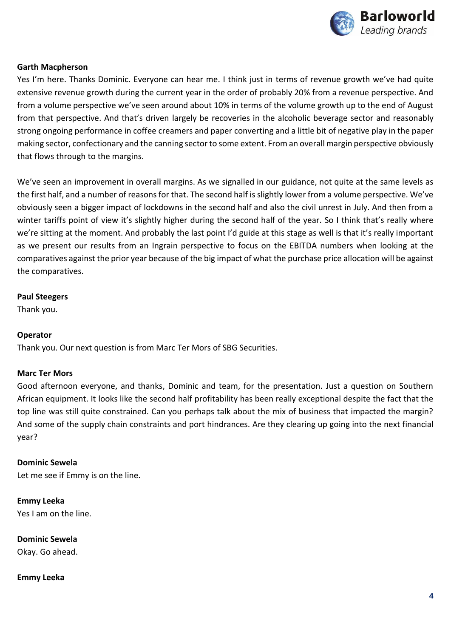

## **Garth Macpherson**

Yes I'm here. Thanks Dominic. Everyone can hear me. I think just in terms of revenue growth we've had quite extensive revenue growth during the current year in the order of probably 20% from a revenue perspective. And from a volume perspective we've seen around about 10% in terms of the volume growth up to the end of August from that perspective. And that's driven largely be recoveries in the alcoholic beverage sector and reasonably strong ongoing performance in coffee creamers and paper converting and a little bit of negative play in the paper making sector, confectionary and the canning sector to some extent. From an overall margin perspective obviously that flows through to the margins.

We've seen an improvement in overall margins. As we signalled in our guidance, not quite at the same levels as the first half, and a number of reasons for that. The second half is slightly lower from a volume perspective. We've obviously seen a bigger impact of lockdowns in the second half and also the civil unrest in July. And then from a winter tariffs point of view it's slightly higher during the second half of the year. So I think that's really where we're sitting at the moment. And probably the last point I'd guide at this stage as well is that it's really important as we present our results from an Ingrain perspective to focus on the EBITDA numbers when looking at the comparatives against the prior year because of the big impact of what the purchase price allocation will be against the comparatives.

#### **Paul Steegers**

Thank you.

## **Operator**

Thank you. Our next question is from Marc Ter Mors of SBG Securities.

## **Marc Ter Mors**

Good afternoon everyone, and thanks, Dominic and team, for the presentation. Just a question on Southern African equipment. It looks like the second half profitability has been really exceptional despite the fact that the top line was still quite constrained. Can you perhaps talk about the mix of business that impacted the margin? And some of the supply chain constraints and port hindrances. Are they clearing up going into the next financial year?

**Dominic Sewela** Let me see if Emmy is on the line.

**Emmy Leeka** Yes I am on the line.

**Dominic Sewela** Okay. Go ahead.

## **Emmy Leeka**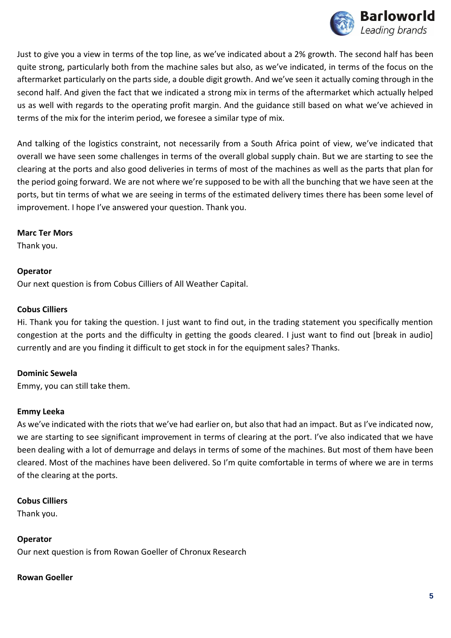

Just to give you a view in terms of the top line, as we've indicated about a 2% growth. The second half has been quite strong, particularly both from the machine sales but also, as we've indicated, in terms of the focus on the aftermarket particularly on the parts side, a double digit growth. And we've seen it actually coming through in the second half. And given the fact that we indicated a strong mix in terms of the aftermarket which actually helped us as well with regards to the operating profit margin. And the guidance still based on what we've achieved in terms of the mix for the interim period, we foresee a similar type of mix.

And talking of the logistics constraint, not necessarily from a South Africa point of view, we've indicated that overall we have seen some challenges in terms of the overall global supply chain. But we are starting to see the clearing at the ports and also good deliveries in terms of most of the machines as well as the parts that plan for the period going forward. We are not where we're supposed to be with all the bunching that we have seen at the ports, but tin terms of what we are seeing in terms of the estimated delivery times there has been some level of improvement. I hope I've answered your question. Thank you.

## **Marc Ter Mors**

Thank you.

## **Operator**

Our next question is from Cobus Cilliers of All Weather Capital.

## **Cobus Cilliers**

Hi. Thank you for taking the question. I just want to find out, in the trading statement you specifically mention congestion at the ports and the difficulty in getting the goods cleared. I just want to find out [break in audio] currently and are you finding it difficult to get stock in for the equipment sales? Thanks.

## **Dominic Sewela**

Emmy, you can still take them.

## **Emmy Leeka**

As we've indicated with the riots that we've had earlier on, but also that had an impact. But as I've indicated now, we are starting to see significant improvement in terms of clearing at the port. I've also indicated that we have been dealing with a lot of demurrage and delays in terms of some of the machines. But most of them have been cleared. Most of the machines have been delivered. So I'm quite comfortable in terms of where we are in terms of the clearing at the ports.

## **Cobus Cilliers**

Thank you.

## **Operator**

Our next question is from Rowan Goeller of Chronux Research

## **Rowan Goeller**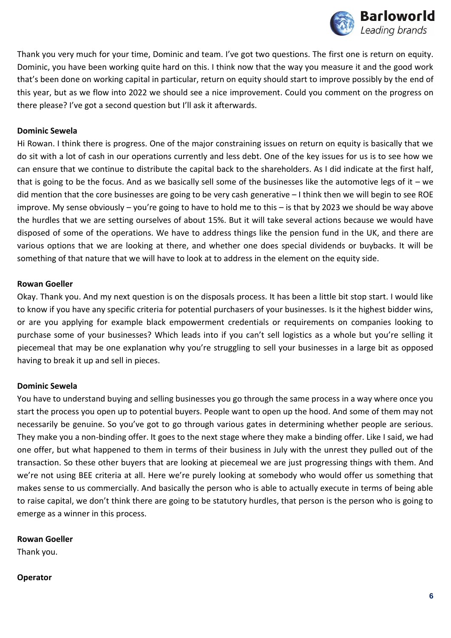

Thank you very much for your time, Dominic and team. I've got two questions. The first one is return on equity. Dominic, you have been working quite hard on this. I think now that the way you measure it and the good work that's been done on working capital in particular, return on equity should start to improve possibly by the end of this year, but as we flow into 2022 we should see a nice improvement. Could you comment on the progress on there please? I've got a second question but I'll ask it afterwards.

### **Dominic Sewela**

Hi Rowan. I think there is progress. One of the major constraining issues on return on equity is basically that we do sit with a lot of cash in our operations currently and less debt. One of the key issues for us is to see how we can ensure that we continue to distribute the capital back to the shareholders. As I did indicate at the first half, that is going to be the focus. And as we basically sell some of the businesses like the automotive legs of it – we did mention that the core businesses are going to be very cash generative – I think then we will begin to see ROE improve. My sense obviously – you're going to have to hold me to this – is that by 2023 we should be way above the hurdles that we are setting ourselves of about 15%. But it will take several actions because we would have disposed of some of the operations. We have to address things like the pension fund in the UK, and there are various options that we are looking at there, and whether one does special dividends or buybacks. It will be something of that nature that we will have to look at to address in the element on the equity side.

#### **Rowan Goeller**

Okay. Thank you. And my next question is on the disposals process. It has been a little bit stop start. I would like to know if you have any specific criteria for potential purchasers of your businesses. Is it the highest bidder wins, or are you applying for example black empowerment credentials or requirements on companies looking to purchase some of your businesses? Which leads into if you can't sell logistics as a whole but you're selling it piecemeal that may be one explanation why you're struggling to sell your businesses in a large bit as opposed having to break it up and sell in pieces.

#### **Dominic Sewela**

You have to understand buying and selling businesses you go through the same process in a way where once you start the process you open up to potential buyers. People want to open up the hood. And some of them may not necessarily be genuine. So you've got to go through various gates in determining whether people are serious. They make you a non-binding offer. It goes to the next stage where they make a binding offer. Like I said, we had one offer, but what happened to them in terms of their business in July with the unrest they pulled out of the transaction. So these other buyers that are looking at piecemeal we are just progressing things with them. And we're not using BEE criteria at all. Here we're purely looking at somebody who would offer us something that makes sense to us commercially. And basically the person who is able to actually execute in terms of being able to raise capital, we don't think there are going to be statutory hurdles, that person is the person who is going to emerge as a winner in this process.

## **Rowan Goeller**

Thank you.

#### **Operator**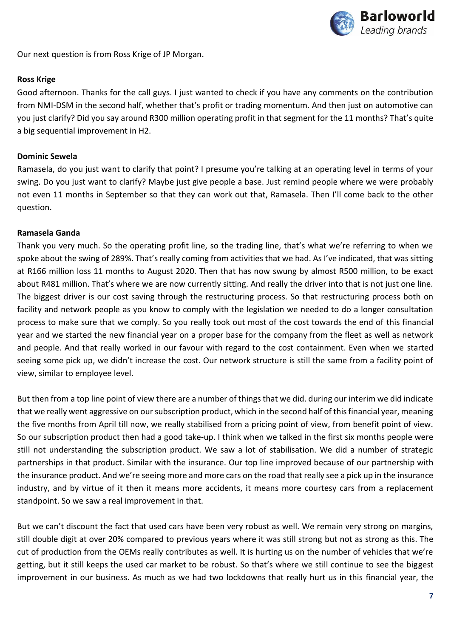

Our next question is from Ross Krige of JP Morgan.

#### **Ross Krige**

Good afternoon. Thanks for the call guys. I just wanted to check if you have any comments on the contribution from NMI-DSM in the second half, whether that's profit or trading momentum. And then just on automotive can you just clarify? Did you say around R300 million operating profit in that segment for the 11 months? That's quite a big sequential improvement in H2.

#### **Dominic Sewela**

Ramasela, do you just want to clarify that point? I presume you're talking at an operating level in terms of your swing. Do you just want to clarify? Maybe just give people a base. Just remind people where we were probably not even 11 months in September so that they can work out that, Ramasela. Then I'll come back to the other question.

#### **Ramasela Ganda**

Thank you very much. So the operating profit line, so the trading line, that's what we're referring to when we spoke about the swing of 289%. That's really coming from activities that we had. As I've indicated, that was sitting at R166 million loss 11 months to August 2020. Then that has now swung by almost R500 million, to be exact about R481 million. That's where we are now currently sitting. And really the driver into that is not just one line. The biggest driver is our cost saving through the restructuring process. So that restructuring process both on facility and network people as you know to comply with the legislation we needed to do a longer consultation process to make sure that we comply. So you really took out most of the cost towards the end of this financial year and we started the new financial year on a proper base for the company from the fleet as well as network and people. And that really worked in our favour with regard to the cost containment. Even when we started seeing some pick up, we didn't increase the cost. Our network structure is still the same from a facility point of view, similar to employee level.

But then from a top line point of view there are a number of things that we did. during our interim we did indicate that we really went aggressive on our subscription product, which in the second half of this financial year, meaning the five months from April till now, we really stabilised from a pricing point of view, from benefit point of view. So our subscription product then had a good take-up. I think when we talked in the first six months people were still not understanding the subscription product. We saw a lot of stabilisation. We did a number of strategic partnerships in that product. Similar with the insurance. Our top line improved because of our partnership with the insurance product. And we're seeing more and more cars on the road that really see a pick up in the insurance industry, and by virtue of it then it means more accidents, it means more courtesy cars from a replacement standpoint. So we saw a real improvement in that.

But we can't discount the fact that used cars have been very robust as well. We remain very strong on margins, still double digit at over 20% compared to previous years where it was still strong but not as strong as this. The cut of production from the OEMs really contributes as well. It is hurting us on the number of vehicles that we're getting, but it still keeps the used car market to be robust. So that's where we still continue to see the biggest improvement in our business. As much as we had two lockdowns that really hurt us in this financial year, the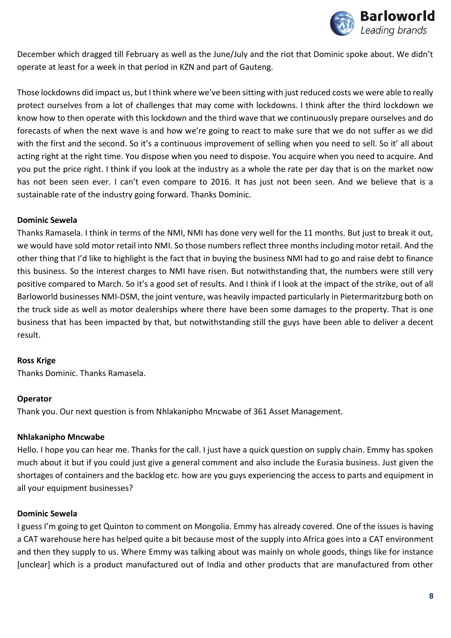

December which dragged till February as well as the June/July and the riot that Dominic spoke about. We didn't operate at least for a week in that period in KZN and part of Gauteng.

Those lockdowns did impact us, but I think where we've been sitting with just reduced costs we were able to really protect ourselves from a lot of challenges that may come with lockdowns. I think after the third lockdown we know how to then operate with this lockdown and the third wave that we continuously prepare ourselves and do forecasts of when the next wave is and how we're going to react to make sure that we do not suffer as we did with the first and the second. So it's a continuous improvement of selling when you need to sell. So it' all about acting right at the right time. You dispose when you need to dispose. You acquire when you need to acquire. And you put the price right. I think if you look at the industry as a whole the rate per day that is on the market now has not been seen ever. I can't even compare to 2016. It has just not been seen. And we believe that is a sustainable rate of the industry going forward. Thanks Dominic.

## **Dominic Sewela**

Thanks Ramasela. I think in terms of the NMI, NMI has done very well for the 11 months. But just to break it out, we would have sold motor retail into NMI. So those numbers reflect three months including motor retail. And the other thing that I'd like to highlight is the fact that in buying the business NMI had to go and raise debt to finance this business. So the interest charges to NMI have risen. But notwithstanding that, the numbers were still very positive compared to March. So it's a good set of results. And I think if I look at the impact of the strike, out of all Barloworld businesses NMI-DSM, the joint venture, was heavily impacted particularly in Pietermaritzburg both on the truck side as well as motor dealerships where there have been some damages to the property. That is one business that has been impacted by that, but notwithstanding still the guys have been able to deliver a decent result.

#### **Ross Krige**

Thanks Dominic. Thanks Ramasela.

#### **Operator**

Thank you. Our next question is from Nhlakanipho Mncwabe of 361 Asset Management.

## **Nhlakanipho Mncwabe**

Hello. I hope you can hear me. Thanks for the call. I just have a quick question on supply chain. Emmy has spoken much about it but if you could just give a general comment and also include the Eurasia business. Just given the shortages of containers and the backlog etc. how are you guys experiencing the access to parts and equipment in all your equipment businesses?

#### **Dominic Sewela**

I guess I'm going to get Quinton to comment on Mongolia. Emmy has already covered. One of the issues is having a CAT warehouse here has helped quite a bit because most of the supply into Africa goes into a CAT environment and then they supply to us. Where Emmy was talking about was mainly on whole goods, things like for instance [unclear] which is a product manufactured out of India and other products that are manufactured from other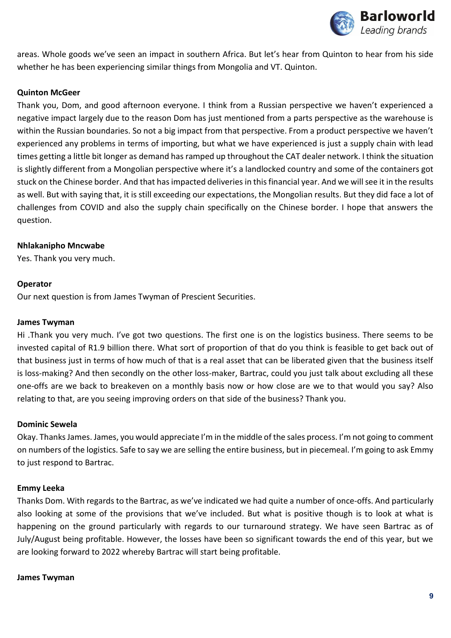

areas. Whole goods we've seen an impact in southern Africa. But let's hear from Quinton to hear from his side whether he has been experiencing similar things from Mongolia and VT. Quinton.

## **Quinton McGeer**

Thank you, Dom, and good afternoon everyone. I think from a Russian perspective we haven't experienced a negative impact largely due to the reason Dom has just mentioned from a parts perspective as the warehouse is within the Russian boundaries. So not a big impact from that perspective. From a product perspective we haven't experienced any problems in terms of importing, but what we have experienced is just a supply chain with lead times getting a little bit longer as demand has ramped up throughout the CAT dealer network. I think the situation is slightly different from a Mongolian perspective where it's a landlocked country and some of the containers got stuck on the Chinese border. And that has impacted deliveries in this financial year. And we will see it in the results as well. But with saying that, it is still exceeding our expectations, the Mongolian results. But they did face a lot of challenges from COVID and also the supply chain specifically on the Chinese border. I hope that answers the question.

## **Nhlakanipho Mncwabe**

Yes. Thank you very much.

## **Operator**

Our next question is from James Twyman of Prescient Securities.

## **James Twyman**

Hi .Thank you very much. I've got two questions. The first one is on the logistics business. There seems to be invested capital of R1.9 billion there. What sort of proportion of that do you think is feasible to get back out of that business just in terms of how much of that is a real asset that can be liberated given that the business itself is loss-making? And then secondly on the other loss-maker, Bartrac, could you just talk about excluding all these one-offs are we back to breakeven on a monthly basis now or how close are we to that would you say? Also relating to that, are you seeing improving orders on that side of the business? Thank you.

## **Dominic Sewela**

Okay. Thanks James. James, you would appreciate I'm in the middle of the sales process. I'm not going to comment on numbers of the logistics. Safe to say we are selling the entire business, but in piecemeal. I'm going to ask Emmy to just respond to Bartrac.

## **Emmy Leeka**

Thanks Dom. With regards to the Bartrac, as we've indicated we had quite a number of once-offs. And particularly also looking at some of the provisions that we've included. But what is positive though is to look at what is happening on the ground particularly with regards to our turnaround strategy. We have seen Bartrac as of July/August being profitable. However, the losses have been so significant towards the end of this year, but we are looking forward to 2022 whereby Bartrac will start being profitable.

#### **James Twyman**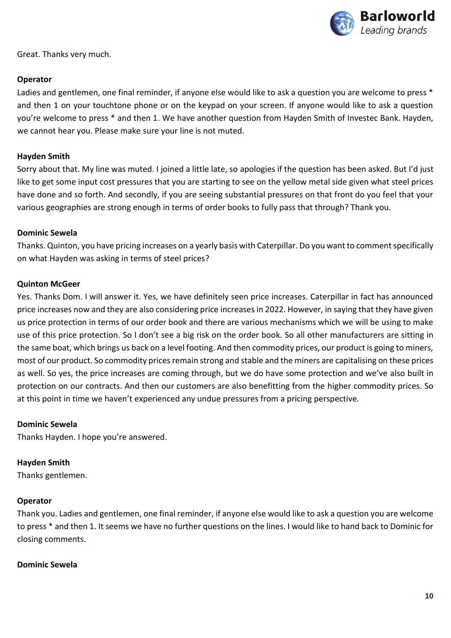

Great. Thanks very much.

#### **Operator**

Ladies and gentlemen, one final reminder, if anyone else would like to ask a question you are welcome to press \* and then 1 on your touchtone phone or on the keypad on your screen. If anyone would like to ask a question you're welcome to press \* and then 1. We have another question from Hayden Smith of Investec Bank. Hayden, we cannot hear you. Please make sure your line is not muted.

#### **Hayden Smith**

Sorry about that. My line was muted. I joined a little late, so apologies if the question has been asked. But I'd just like to get some input cost pressures that you are starting to see on the yellow metal side given what steel prices have done and so forth. And secondly, if you are seeing substantial pressures on that front do you feel that your various geographies are strong enough in terms of order books to fully pass that through? Thank you.

#### **Dominic Sewela**

Thanks. Quinton, you have pricing increases on a yearly basis with Caterpillar. Do you want to comment specifically on what Hayden was asking in terms of steel prices?

#### **Quinton McGeer**

Yes. Thanks Dom. I will answer it. Yes, we have definitely seen price increases. Caterpillar in fact has announced price increases now and they are also considering price increases in 2022. However, in saying that they have given us price protection in terms of our order book and there are various mechanisms which we will be using to make use of this price protection. So I don't see a big risk on the order book. So all other manufacturers are sitting in the same boat, which brings us back on a level footing. And then commodity prices, our product is going to miners, most of our product. So commodity prices remain strong and stable and the miners are capitalising on these prices as well. So yes, the price increases are coming through, but we do have some protection and we've also built in protection on our contracts. And then our customers are also benefitting from the higher commodity prices. So at this point in time we haven't experienced any undue pressures from a pricing perspective.

## **Dominic Sewela**

Thanks Hayden. I hope you're answered.

## **Hayden Smith**

Thanks gentlemen.

## **Operator**

Thank you. Ladies and gentlemen, one final reminder, if anyone else would like to ask a question you are welcome to press \* and then 1. It seems we have no further questions on the lines. I would like to hand back to Dominic for closing comments.

#### **Dominic Sewela**